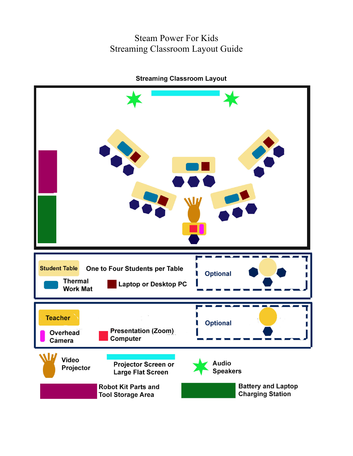#### Steam Power For Kids Streaming Classroom Layout Guide



**Streaming Classroom Layout**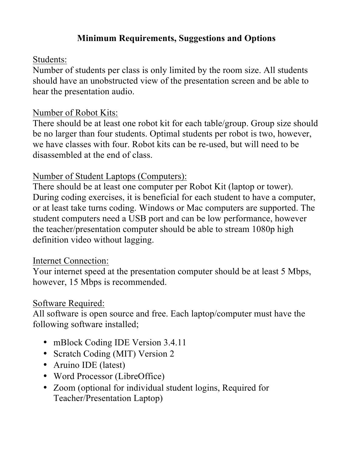# **Minimum Requirements, Suggestions and Options**

### Students:

Number of students per class is only limited by the room size. All students should have an unobstructed view of the presentation screen and be able to hear the presentation audio.

### Number of Robot Kits:

There should be at least one robot kit for each table/group. Group size should be no larger than four students. Optimal students per robot is two, however, we have classes with four. Robot kits can be re-used, but will need to be disassembled at the end of class.

# Number of Student Laptops (Computers):

There should be at least one computer per Robot Kit (laptop or tower). During coding exercises, it is beneficial for each student to have a computer, or at least take turns coding. Windows or Mac computers are supported. The student computers need a USB port and can be low performance, however the teacher/presentation computer should be able to stream 1080p high definition video without lagging.

### Internet Connection:

Your internet speed at the presentation computer should be at least 5 Mbps, however, 15 Mbps is recommended.

### Software Required:

All software is open source and free. Each laptop/computer must have the following software installed;

- mBlock Coding IDE Version 3.4.11
- Scratch Coding (MIT) Version 2
- Aruino IDE (latest)
- Word Processor (LibreOffice)
- Zoom (optional for individual student logins, Required for Teacher/Presentation Laptop)